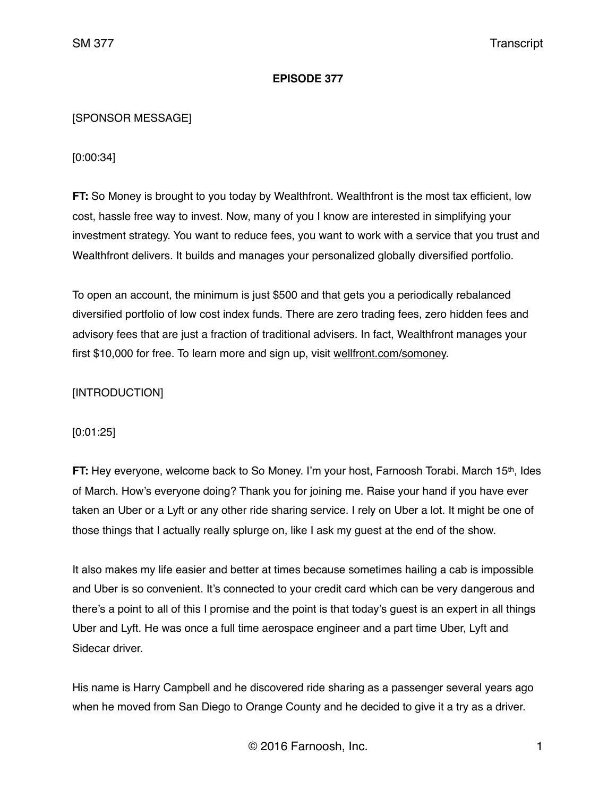### **EPISODE 377**

### [SPONSOR MESSAGE]

[0:00:34]

**FT:** So Money is brought to you today by Wealthfront. Wealthfront is the most tax efficient, low cost, hassle free way to invest. Now, many of you I know are interested in simplifying your investment strategy. You want to reduce fees, you want to work with a service that you trust and Wealthfront delivers. It builds and manages your personalized globally diversified portfolio.

To open an account, the minimum is just \$500 and that gets you a periodically rebalanced diversified portfolio of low cost index funds. There are zero trading fees, zero hidden fees and advisory fees that are just a fraction of traditional advisers. In fact, Wealthfront manages your first \$10,000 for free. To learn more and sign up, visit [wellfront.com/somoney.](http://wellfront.com/somoney)

# [INTRODUCTION]

[0:01:25]

**FT:** Hey everyone, welcome back to So Money. I'm your host, Farnoosh Torabi. March 15th, Ides of March. How's everyone doing? Thank you for joining me. Raise your hand if you have ever taken an Uber or a Lyft or any other ride sharing service. I rely on Uber a lot. It might be one of those things that I actually really splurge on, like I ask my guest at the end of the show.

It also makes my life easier and better at times because sometimes hailing a cab is impossible and Uber is so convenient. It's connected to your credit card which can be very dangerous and there's a point to all of this I promise and the point is that today's guest is an expert in all things Uber and Lyft. He was once a full time aerospace engineer and a part time Uber, Lyft and Sidecar driver.

His name is Harry Campbell and he discovered ride sharing as a passenger several years ago when he moved from San Diego to Orange County and he decided to give it a try as a driver.

© 2016 Farnoosh, Inc. 1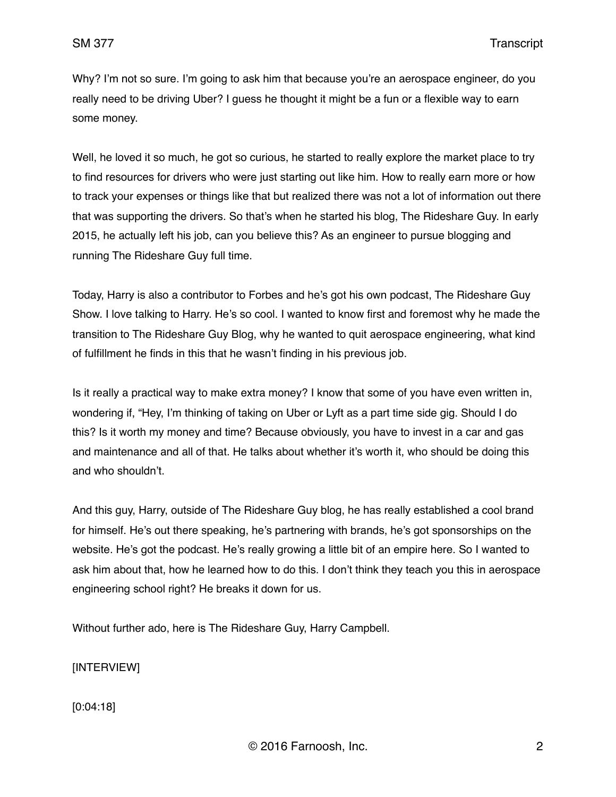Why? I'm not so sure. I'm going to ask him that because you're an aerospace engineer, do you really need to be driving Uber? I guess he thought it might be a fun or a flexible way to earn some money.

Well, he loved it so much, he got so curious, he started to really explore the market place to try to find resources for drivers who were just starting out like him. How to really earn more or how to track your expenses or things like that but realized there was not a lot of information out there that was supporting the drivers. So that's when he started his blog, The Rideshare Guy. In early 2015, he actually left his job, can you believe this? As an engineer to pursue blogging and running The Rideshare Guy full time.

Today, Harry is also a contributor to Forbes and he's got his own podcast, The Rideshare Guy Show. I love talking to Harry. He's so cool. I wanted to know first and foremost why he made the transition to The Rideshare Guy Blog, why he wanted to quit aerospace engineering, what kind of fulfillment he finds in this that he wasn't finding in his previous job.

Is it really a practical way to make extra money? I know that some of you have even written in, wondering if, "Hey, I'm thinking of taking on Uber or Lyft as a part time side gig. Should I do this? Is it worth my money and time? Because obviously, you have to invest in a car and gas and maintenance and all of that. He talks about whether it's worth it, who should be doing this and who shouldn't.

And this guy, Harry, outside of The Rideshare Guy blog, he has really established a cool brand for himself. He's out there speaking, he's partnering with brands, he's got sponsorships on the website. He's got the podcast. He's really growing a little bit of an empire here. So I wanted to ask him about that, how he learned how to do this. I don't think they teach you this in aerospace engineering school right? He breaks it down for us.

Without further ado, here is The Rideshare Guy, Harry Campbell.

[INTERVIEW]

[0:04:18]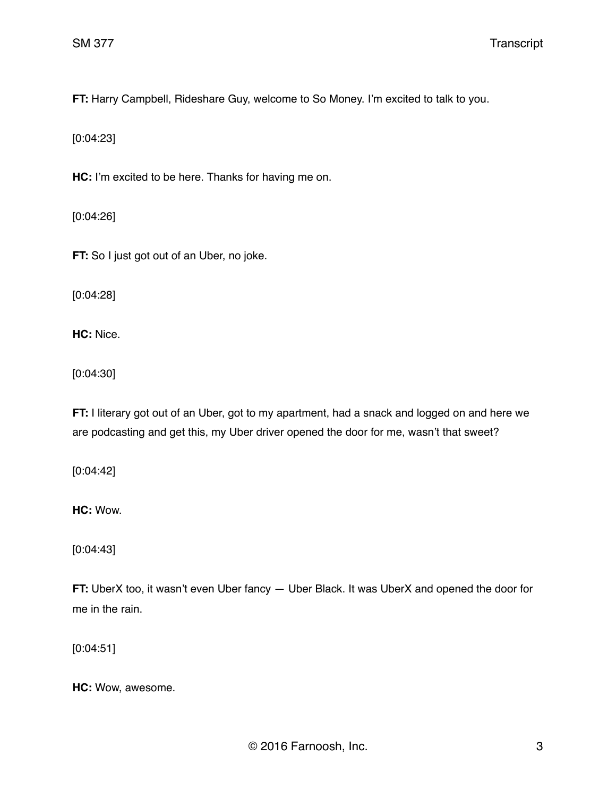**FT:** Harry Campbell, Rideshare Guy, welcome to So Money. I'm excited to talk to you.

[0:04:23]

**HC:** I'm excited to be here. Thanks for having me on.

[0:04:26]

**FT:** So I just got out of an Uber, no joke.

[0:04:28]

**HC:** Nice.

[0:04:30]

**FT:** I literary got out of an Uber, got to my apartment, had a snack and logged on and here we are podcasting and get this, my Uber driver opened the door for me, wasn't that sweet?

[0:04:42]

**HC:** Wow.

[0:04:43]

**FT:** UberX too, it wasn't even Uber fancy — Uber Black. It was UberX and opened the door for me in the rain.

[0:04:51]

**HC:** Wow, awesome.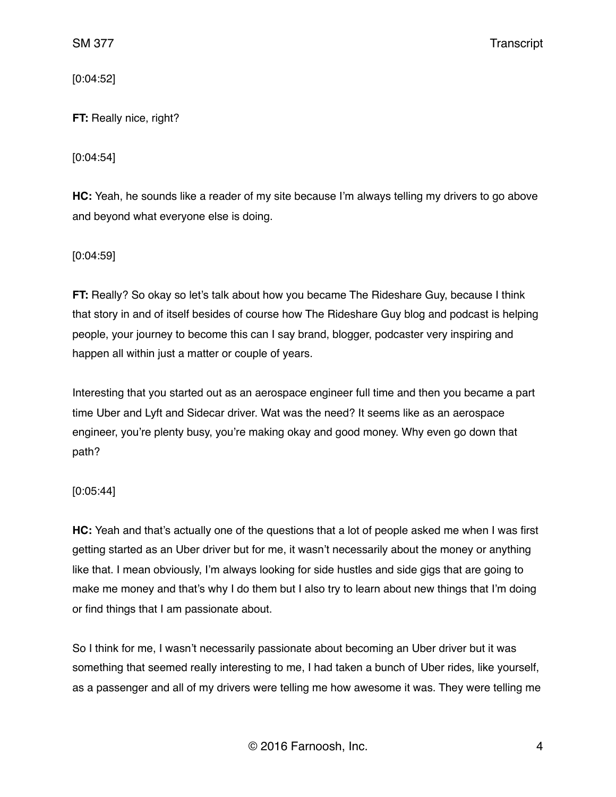[0:04:52]

**FT:** Really nice, right?

[0:04:54]

**HC:** Yeah, he sounds like a reader of my site because I'm always telling my drivers to go above and beyond what everyone else is doing.

[0:04:59]

**FT:** Really? So okay so let's talk about how you became The Rideshare Guy, because I think that story in and of itself besides of course how The Rideshare Guy blog and podcast is helping people, your journey to become this can I say brand, blogger, podcaster very inspiring and happen all within just a matter or couple of years.

Interesting that you started out as an aerospace engineer full time and then you became a part time Uber and Lyft and Sidecar driver. Wat was the need? It seems like as an aerospace engineer, you're plenty busy, you're making okay and good money. Why even go down that path?

# [0:05:44]

**HC:** Yeah and that's actually one of the questions that a lot of people asked me when I was first getting started as an Uber driver but for me, it wasn't necessarily about the money or anything like that. I mean obviously, I'm always looking for side hustles and side gigs that are going to make me money and that's why I do them but I also try to learn about new things that I'm doing or find things that I am passionate about.

So I think for me, I wasn't necessarily passionate about becoming an Uber driver but it was something that seemed really interesting to me, I had taken a bunch of Uber rides, like yourself, as a passenger and all of my drivers were telling me how awesome it was. They were telling me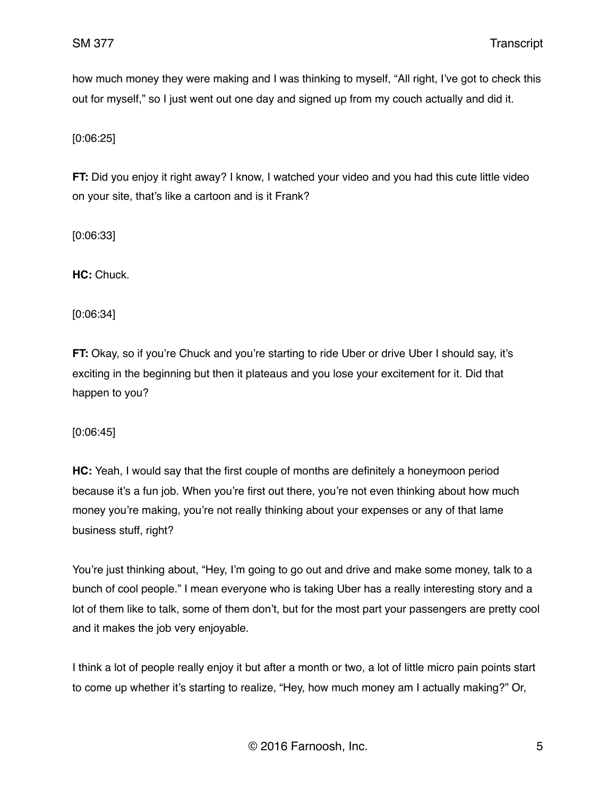how much money they were making and I was thinking to myself, "All right, I've got to check this out for myself," so I just went out one day and signed up from my couch actually and did it.

[0:06:25]

**FT:** Did you enjoy it right away? I know, I watched your video and you had this cute little video on your site, that's like a cartoon and is it Frank?

[0:06:33]

**HC:** Chuck.

[0:06:34]

**FT:** Okay, so if you're Chuck and you're starting to ride Uber or drive Uber I should say, it's exciting in the beginning but then it plateaus and you lose your excitement for it. Did that happen to you?

[0:06:45]

**HC:** Yeah, I would say that the first couple of months are definitely a honeymoon period because it's a fun job. When you're first out there, you're not even thinking about how much money you're making, you're not really thinking about your expenses or any of that lame business stuff, right?

You're just thinking about, "Hey, I'm going to go out and drive and make some money, talk to a bunch of cool people." I mean everyone who is taking Uber has a really interesting story and a lot of them like to talk, some of them don't, but for the most part your passengers are pretty cool and it makes the job very enjoyable.

I think a lot of people really enjoy it but after a month or two, a lot of little micro pain points start to come up whether it's starting to realize, "Hey, how much money am I actually making?" Or,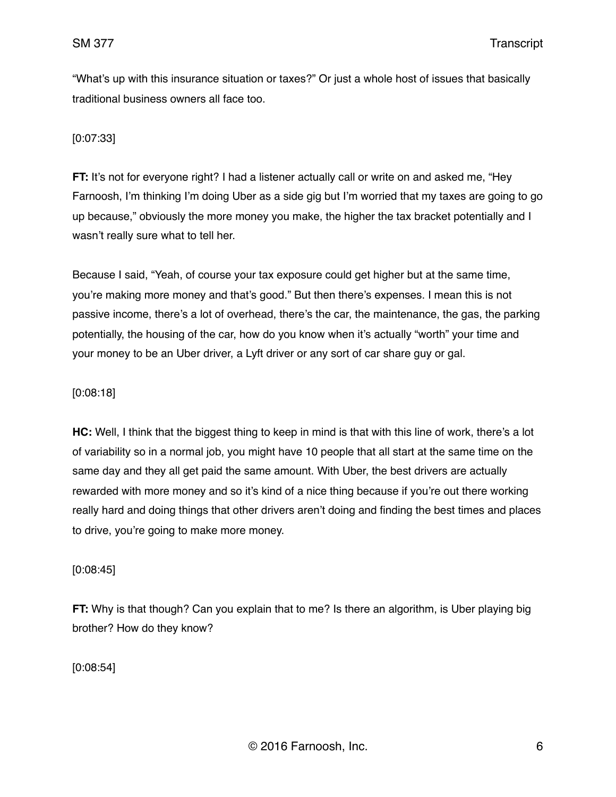"What's up with this insurance situation or taxes?" Or just a whole host of issues that basically traditional business owners all face too.

### [0:07:33]

**FT:** It's not for everyone right? I had a listener actually call or write on and asked me, "Hey Farnoosh, I'm thinking I'm doing Uber as a side gig but I'm worried that my taxes are going to go up because," obviously the more money you make, the higher the tax bracket potentially and I wasn't really sure what to tell her.

Because I said, "Yeah, of course your tax exposure could get higher but at the same time, you're making more money and that's good." But then there's expenses. I mean this is not passive income, there's a lot of overhead, there's the car, the maintenance, the gas, the parking potentially, the housing of the car, how do you know when it's actually "worth" your time and your money to be an Uber driver, a Lyft driver or any sort of car share guy or gal.

### [0:08:18]

**HC:** Well, I think that the biggest thing to keep in mind is that with this line of work, there's a lot of variability so in a normal job, you might have 10 people that all start at the same time on the same day and they all get paid the same amount. With Uber, the best drivers are actually rewarded with more money and so it's kind of a nice thing because if you're out there working really hard and doing things that other drivers aren't doing and finding the best times and places to drive, you're going to make more money.

### [0:08:45]

**FT:** Why is that though? Can you explain that to me? Is there an algorithm, is Uber playing big brother? How do they know?

[0:08:54]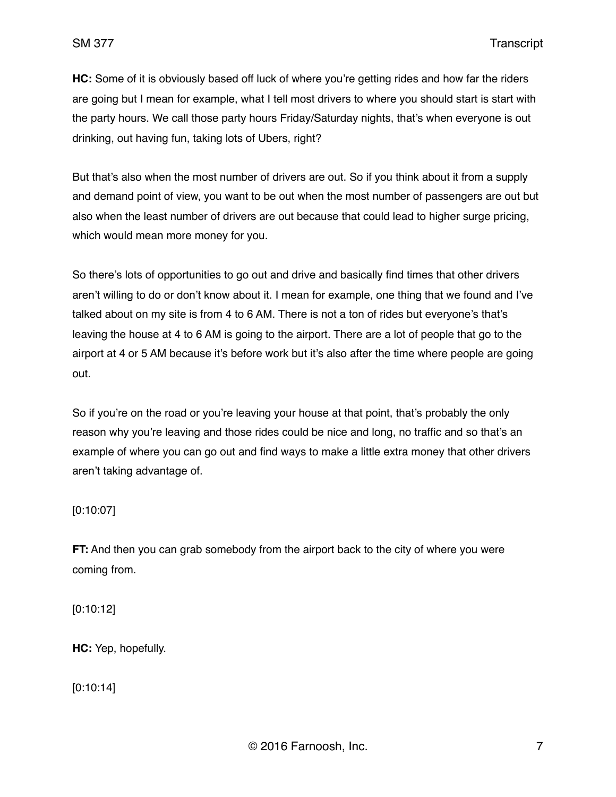**HC:** Some of it is obviously based off luck of where you're getting rides and how far the riders are going but I mean for example, what I tell most drivers to where you should start is start with the party hours. We call those party hours Friday/Saturday nights, that's when everyone is out drinking, out having fun, taking lots of Ubers, right?

But that's also when the most number of drivers are out. So if you think about it from a supply and demand point of view, you want to be out when the most number of passengers are out but also when the least number of drivers are out because that could lead to higher surge pricing, which would mean more money for you.

So there's lots of opportunities to go out and drive and basically find times that other drivers aren't willing to do or don't know about it. I mean for example, one thing that we found and I've talked about on my site is from 4 to 6 AM. There is not a ton of rides but everyone's that's leaving the house at 4 to 6 AM is going to the airport. There are a lot of people that go to the airport at 4 or 5 AM because it's before work but it's also after the time where people are going out.

So if you're on the road or you're leaving your house at that point, that's probably the only reason why you're leaving and those rides could be nice and long, no traffic and so that's an example of where you can go out and find ways to make a little extra money that other drivers aren't taking advantage of.

### [0:10:07]

**FT:** And then you can grab somebody from the airport back to the city of where you were coming from.

[0:10:12]

**HC:** Yep, hopefully.

[0:10:14]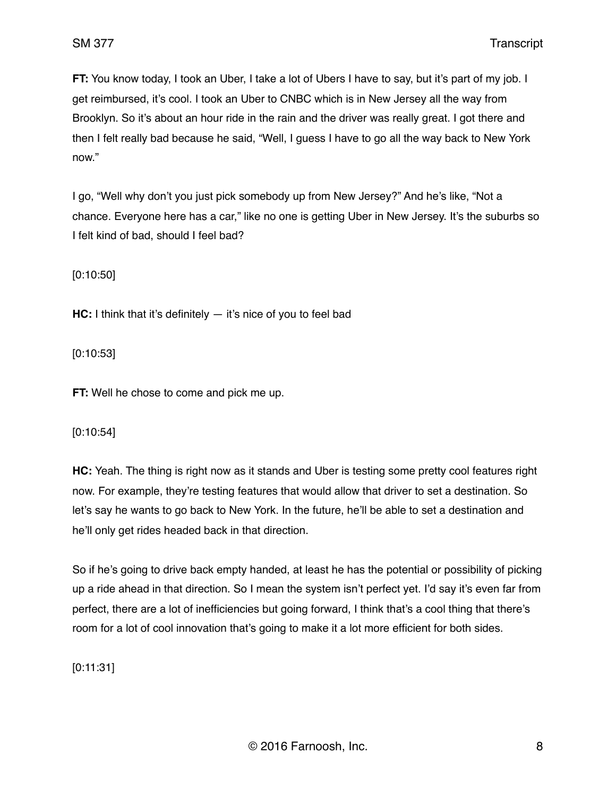**FT:** You know today, I took an Uber, I take a lot of Ubers I have to say, but it's part of my job. I get reimbursed, it's cool. I took an Uber to CNBC which is in New Jersey all the way from Brooklyn. So it's about an hour ride in the rain and the driver was really great. I got there and then I felt really bad because he said, "Well, I guess I have to go all the way back to New York now."

I go, "Well why don't you just pick somebody up from New Jersey?" And he's like, "Not a chance. Everyone here has a car," like no one is getting Uber in New Jersey. It's the suburbs so I felt kind of bad, should I feel bad?

[0:10:50]

**HC:** I think that it's definitely — it's nice of you to feel bad

[0:10:53]

**FT:** Well he chose to come and pick me up.

### [0:10:54]

**HC:** Yeah. The thing is right now as it stands and Uber is testing some pretty cool features right now. For example, they're testing features that would allow that driver to set a destination. So let's say he wants to go back to New York. In the future, he'll be able to set a destination and he'll only get rides headed back in that direction.

So if he's going to drive back empty handed, at least he has the potential or possibility of picking up a ride ahead in that direction. So I mean the system isn't perfect yet. I'd say it's even far from perfect, there are a lot of inefficiencies but going forward, I think that's a cool thing that there's room for a lot of cool innovation that's going to make it a lot more efficient for both sides.

[0:11:31]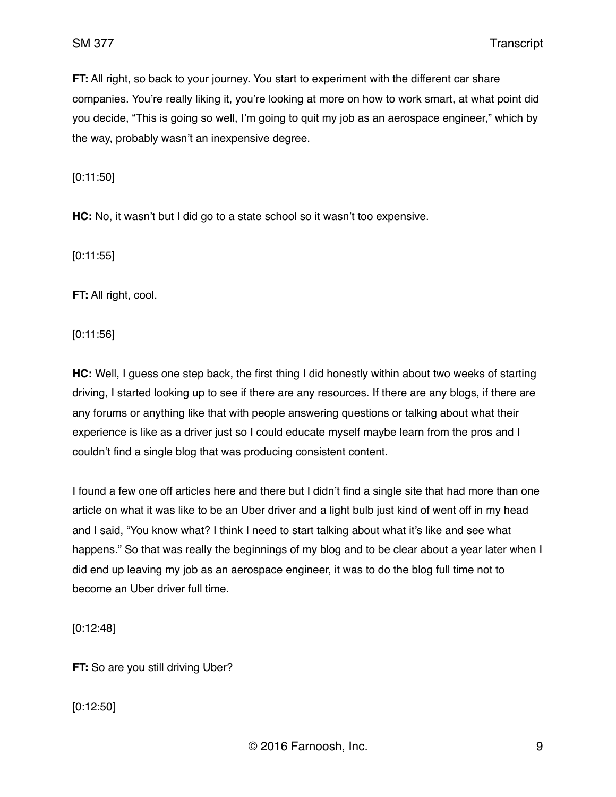**FT:** All right, so back to your journey. You start to experiment with the different car share companies. You're really liking it, you're looking at more on how to work smart, at what point did you decide, "This is going so well, I'm going to quit my job as an aerospace engineer," which by the way, probably wasn't an inexpensive degree.

[0:11:50]

**HC:** No, it wasn't but I did go to a state school so it wasn't too expensive.

[0:11:55]

**FT:** All right, cool.

[0:11:56]

**HC:** Well, I guess one step back, the first thing I did honestly within about two weeks of starting driving, I started looking up to see if there are any resources. If there are any blogs, if there are any forums or anything like that with people answering questions or talking about what their experience is like as a driver just so I could educate myself maybe learn from the pros and I couldn't find a single blog that was producing consistent content.

I found a few one off articles here and there but I didn't find a single site that had more than one article on what it was like to be an Uber driver and a light bulb just kind of went off in my head and I said, "You know what? I think I need to start talking about what it's like and see what happens." So that was really the beginnings of my blog and to be clear about a year later when I did end up leaving my job as an aerospace engineer, it was to do the blog full time not to become an Uber driver full time.

[0:12:48]

**FT:** So are you still driving Uber?

[0:12:50]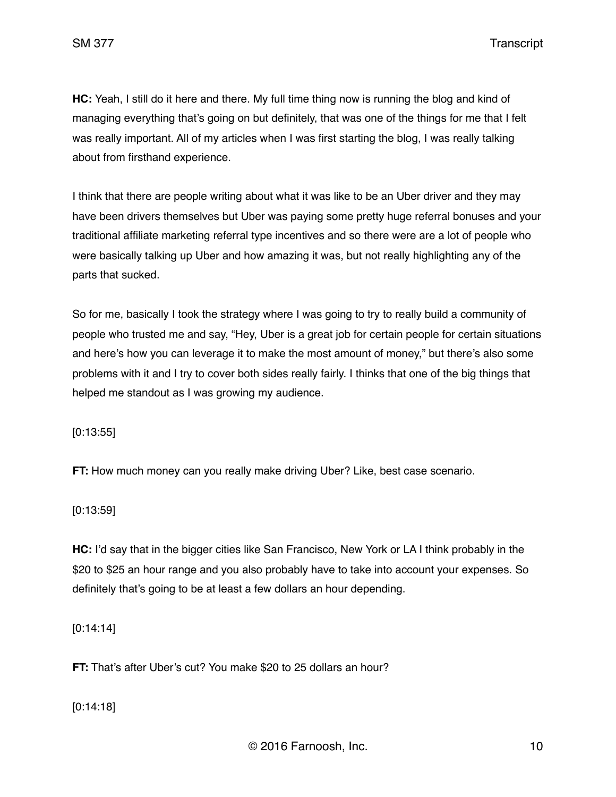SM 377 Transcript

**HC:** Yeah, I still do it here and there. My full time thing now is running the blog and kind of managing everything that's going on but definitely, that was one of the things for me that I felt was really important. All of my articles when I was first starting the blog, I was really talking about from firsthand experience.

I think that there are people writing about what it was like to be an Uber driver and they may have been drivers themselves but Uber was paying some pretty huge referral bonuses and your traditional affiliate marketing referral type incentives and so there were are a lot of people who were basically talking up Uber and how amazing it was, but not really highlighting any of the parts that sucked.

So for me, basically I took the strategy where I was going to try to really build a community of people who trusted me and say, "Hey, Uber is a great job for certain people for certain situations and here's how you can leverage it to make the most amount of money," but there's also some problems with it and I try to cover both sides really fairly. I thinks that one of the big things that helped me standout as I was growing my audience.

[0:13:55]

**FT:** How much money can you really make driving Uber? Like, best case scenario.

[0:13:59]

**HC:** I'd say that in the bigger cities like San Francisco, New York or LA I think probably in the \$20 to \$25 an hour range and you also probably have to take into account your expenses. So definitely that's going to be at least a few dollars an hour depending.

[0:14:14]

**FT:** That's after Uber's cut? You make \$20 to 25 dollars an hour?

[0:14:18]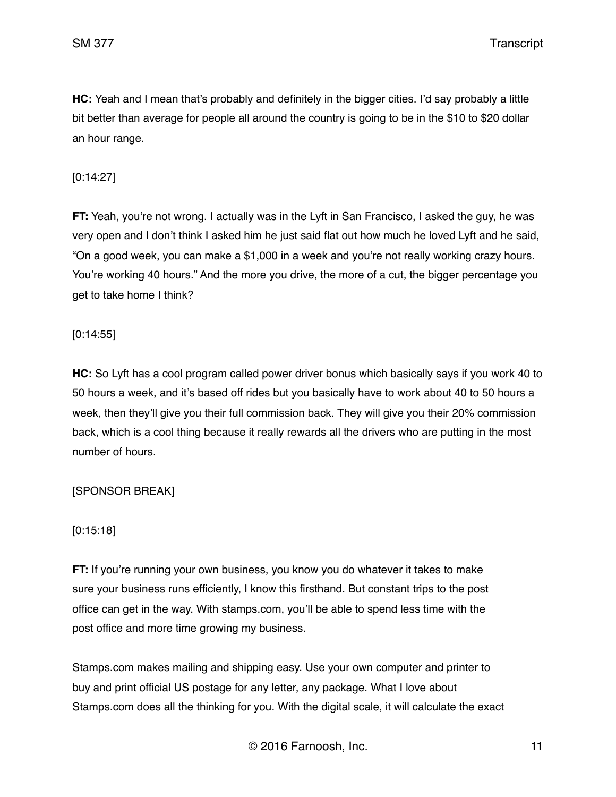**HC:** Yeah and I mean that's probably and definitely in the bigger cities. I'd say probably a little bit better than average for people all around the country is going to be in the \$10 to \$20 dollar an hour range.

# [0:14:27]

**FT:** Yeah, you're not wrong. I actually was in the Lyft in San Francisco, I asked the guy, he was very open and I don't think I asked him he just said flat out how much he loved Lyft and he said, "On a good week, you can make a \$1,000 in a week and you're not really working crazy hours. You're working 40 hours." And the more you drive, the more of a cut, the bigger percentage you get to take home I think?

# [0:14:55]

**HC:** So Lyft has a cool program called power driver bonus which basically says if you work 40 to 50 hours a week, and it's based off rides but you basically have to work about 40 to 50 hours a week, then they'll give you their full commission back. They will give you their 20% commission back, which is a cool thing because it really rewards all the drivers who are putting in the most number of hours.

# [SPONSOR BREAK]

# [0:15:18]

**FT:** If you're running your own business, you know you do whatever it takes to make sure your business runs efficiently, I know this firsthand. But constant trips to the post office can get in the way. With stamps.com, you'll be able to spend less time with the post office and more time growing my business.

Stamps.com makes mailing and shipping easy. Use your own computer and printer to buy and print official US postage for any letter, any package. What I love about Stamps.com does all the thinking for you. With the digital scale, it will calculate the exact

© 2016 Farnoosh, Inc. 11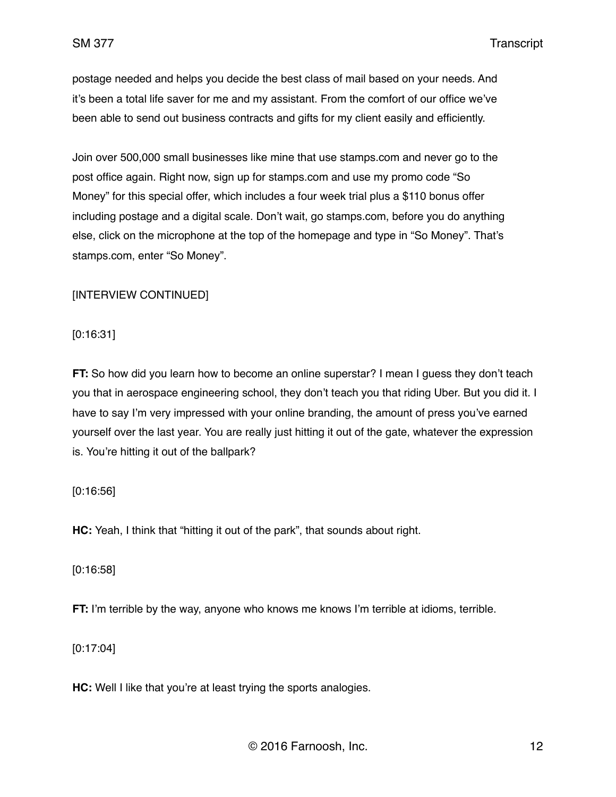SM 377 Transcript

postage needed and helps you decide the best class of mail based on your needs. And it's been a total life saver for me and my assistant. From the comfort of our office we've been able to send out business contracts and gifts for my client easily and efficiently.

Join over 500,000 small businesses like mine that use stamps.com and never go to the post office again. Right now, sign up for stamps.com and use my promo code "So Money" for this special offer, which includes a four week trial plus a \$110 bonus offer including postage and a digital scale. Don't wait, go stamps.com, before you do anything else, click on the microphone at the top of the homepage and type in "So Money". That's stamps.com, enter "So Money".

# [INTERVIEW CONTINUED]

[0:16:31]

**FT:** So how did you learn how to become an online superstar? I mean I guess they don't teach you that in aerospace engineering school, they don't teach you that riding Uber. But you did it. I have to say I'm very impressed with your online branding, the amount of press you've earned yourself over the last year. You are really just hitting it out of the gate, whatever the expression is. You're hitting it out of the ballpark?

# [0:16:56]

**HC:** Yeah, I think that "hitting it out of the park", that sounds about right.

[0:16:58]

**FT:** I'm terrible by the way, anyone who knows me knows I'm terrible at idioms, terrible.

[0:17:04]

**HC:** Well I like that you're at least trying the sports analogies.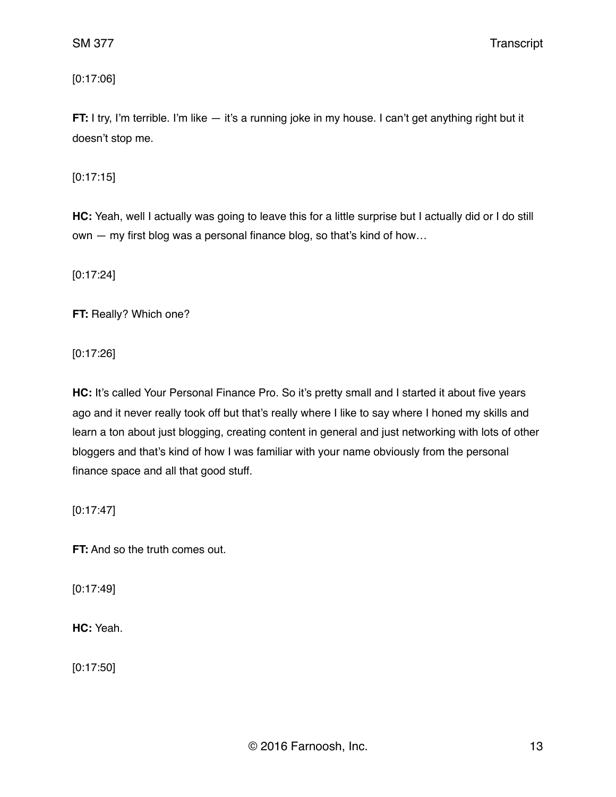[0:17:06]

**FT:** I try, I'm terrible. I'm like — it's a running joke in my house. I can't get anything right but it doesn't stop me.

[0:17:15]

**HC:** Yeah, well I actually was going to leave this for a little surprise but I actually did or I do still own — my first blog was a personal finance blog, so that's kind of how…

[0:17:24]

**FT:** Really? Which one?

[0:17:26]

HC: It's called Your Personal Finance Pro. So it's pretty small and I started it about five years ago and it never really took off but that's really where I like to say where I honed my skills and learn a ton about just blogging, creating content in general and just networking with lots of other bloggers and that's kind of how I was familiar with your name obviously from the personal finance space and all that good stuff.

[0:17:47]

**FT:** And so the truth comes out.

[0:17:49]

**HC:** Yeah.

[0:17:50]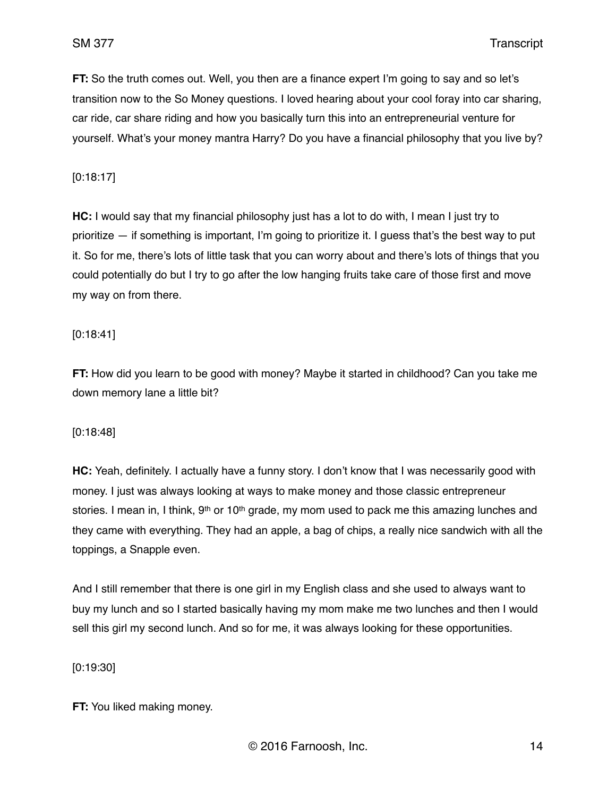**FT:** So the truth comes out. Well, you then are a finance expert I'm going to say and so let's transition now to the So Money questions. I loved hearing about your cool foray into car sharing, car ride, car share riding and how you basically turn this into an entrepreneurial venture for yourself. What's your money mantra Harry? Do you have a financial philosophy that you live by?

[0:18:17]

**HC:** I would say that my financial philosophy just has a lot to do with, I mean I just try to prioritize — if something is important, I'm going to prioritize it. I guess that's the best way to put it. So for me, there's lots of little task that you can worry about and there's lots of things that you could potentially do but I try to go after the low hanging fruits take care of those first and move my way on from there.

### [0:18:41]

**FT:** How did you learn to be good with money? Maybe it started in childhood? Can you take me down memory lane a little bit?

### [0:18:48]

**HC:** Yeah, definitely. I actually have a funny story. I don't know that I was necessarily good with money. I just was always looking at ways to make money and those classic entrepreneur stories. I mean in, I think,  $9<sup>th</sup>$  or 10<sup>th</sup> grade, my mom used to pack me this amazing lunches and they came with everything. They had an apple, a bag of chips, a really nice sandwich with all the toppings, a Snapple even.

And I still remember that there is one girl in my English class and she used to always want to buy my lunch and so I started basically having my mom make me two lunches and then I would sell this girl my second lunch. And so for me, it was always looking for these opportunities.

[0:19:30]

**FT:** You liked making money.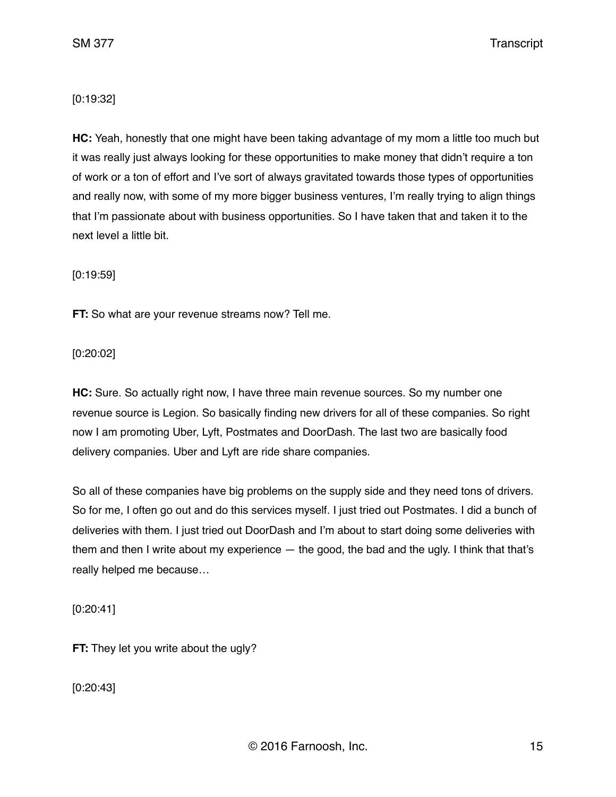SM 377 Transcript

## [0:19:32]

**HC:** Yeah, honestly that one might have been taking advantage of my mom a little too much but it was really just always looking for these opportunities to make money that didn't require a ton of work or a ton of effort and I've sort of always gravitated towards those types of opportunities and really now, with some of my more bigger business ventures, I'm really trying to align things that I'm passionate about with business opportunities. So I have taken that and taken it to the next level a little bit.

[0:19:59]

**FT:** So what are your revenue streams now? Tell me.

[0:20:02]

**HC:** Sure. So actually right now, I have three main revenue sources. So my number one revenue source is Legion. So basically finding new drivers for all of these companies. So right now I am promoting Uber, Lyft, Postmates and DoorDash. The last two are basically food delivery companies. Uber and Lyft are ride share companies.

So all of these companies have big problems on the supply side and they need tons of drivers. So for me, I often go out and do this services myself. I just tried out Postmates. I did a bunch of deliveries with them. I just tried out DoorDash and I'm about to start doing some deliveries with them and then I write about my experience — the good, the bad and the ugly. I think that that's really helped me because…

[0:20:41]

**FT:** They let you write about the ugly?

[0:20:43]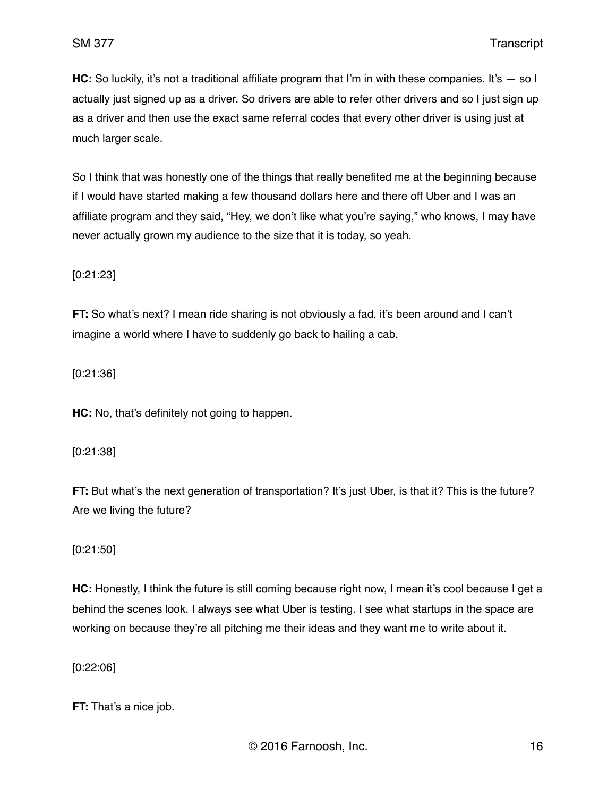**HC:** So luckily, it's not a traditional affiliate program that I'm in with these companies. It's – so I actually just signed up as a driver. So drivers are able to refer other drivers and so I just sign up as a driver and then use the exact same referral codes that every other driver is using just at much larger scale.

So I think that was honestly one of the things that really benefited me at the beginning because if I would have started making a few thousand dollars here and there off Uber and I was an affiliate program and they said, "Hey, we don't like what you're saying," who knows, I may have never actually grown my audience to the size that it is today, so yeah.

[0:21:23]

**FT:** So what's next? I mean ride sharing is not obviously a fad, it's been around and I can't imagine a world where I have to suddenly go back to hailing a cab.

[0:21:36]

**HC:** No, that's definitely not going to happen.

#### [0:21:38]

**FT:** But what's the next generation of transportation? It's just Uber, is that it? This is the future? Are we living the future?

### [0:21:50]

**HC:** Honestly, I think the future is still coming because right now, I mean it's cool because I get a behind the scenes look. I always see what Uber is testing. I see what startups in the space are working on because they're all pitching me their ideas and they want me to write about it.

[0:22:06]

**FT:** That's a nice job.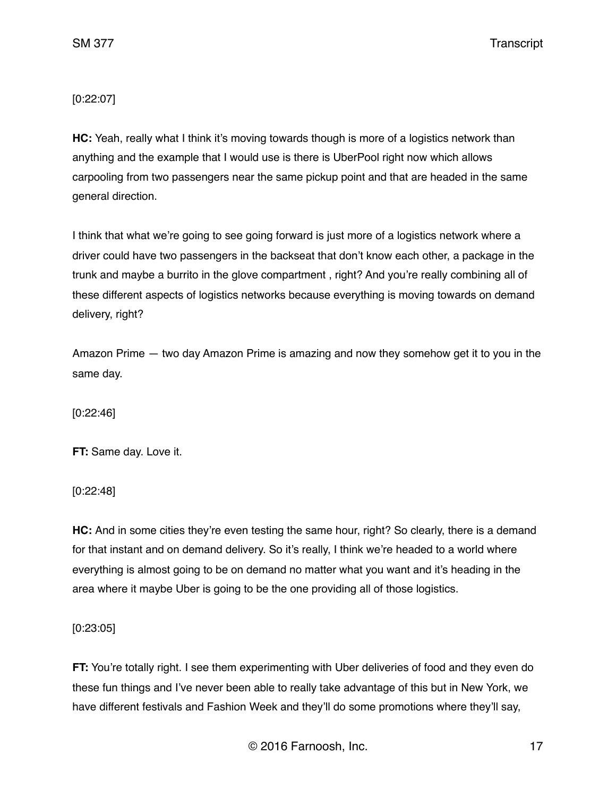# [0:22:07]

**HC:** Yeah, really what I think it's moving towards though is more of a logistics network than anything and the example that I would use is there is UberPool right now which allows carpooling from two passengers near the same pickup point and that are headed in the same general direction.

I think that what we're going to see going forward is just more of a logistics network where a driver could have two passengers in the backseat that don't know each other, a package in the trunk and maybe a burrito in the glove compartment , right? And you're really combining all of these different aspects of logistics networks because everything is moving towards on demand delivery, right?

Amazon Prime — two day Amazon Prime is amazing and now they somehow get it to you in the same day.

[0:22:46]

**FT:** Same day. Love it.

[0:22:48]

**HC:** And in some cities they're even testing the same hour, right? So clearly, there is a demand for that instant and on demand delivery. So it's really, I think we're headed to a world where everything is almost going to be on demand no matter what you want and it's heading in the area where it maybe Uber is going to be the one providing all of those logistics.

[0:23:05]

**FT:** You're totally right. I see them experimenting with Uber deliveries of food and they even do these fun things and I've never been able to really take advantage of this but in New York, we have different festivals and Fashion Week and they'll do some promotions where they'll say,

© 2016 Farnoosh, Inc. 17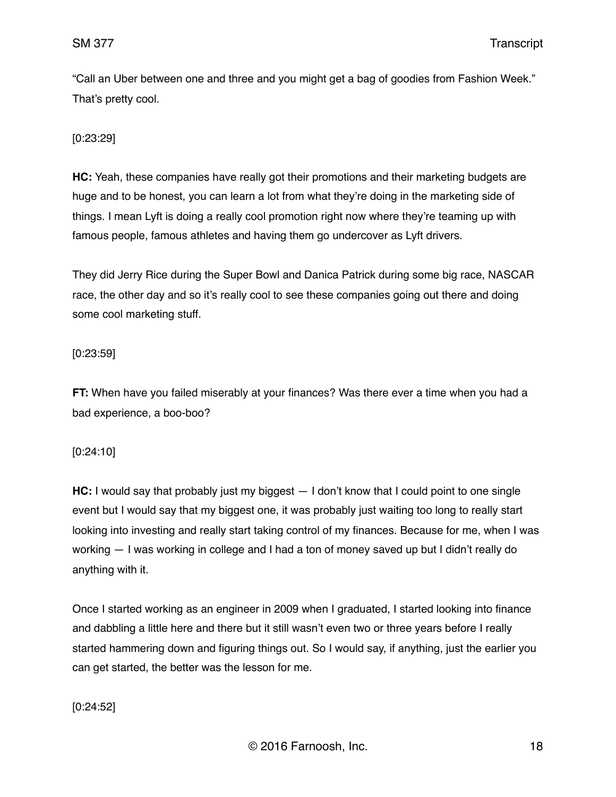"Call an Uber between one and three and you might get a bag of goodies from Fashion Week." That's pretty cool.

[0:23:29]

**HC:** Yeah, these companies have really got their promotions and their marketing budgets are huge and to be honest, you can learn a lot from what they're doing in the marketing side of things. I mean Lyft is doing a really cool promotion right now where they're teaming up with famous people, famous athletes and having them go undercover as Lyft drivers.

They did Jerry Rice during the Super Bowl and Danica Patrick during some big race, NASCAR race, the other day and so it's really cool to see these companies going out there and doing some cool marketing stuff.

#### [0:23:59]

**FT:** When have you failed miserably at your finances? Was there ever a time when you had a bad experience, a boo-boo?

### [0:24:10]

**HC:** I would say that probably just my biggest — I don't know that I could point to one single event but I would say that my biggest one, it was probably just waiting too long to really start looking into investing and really start taking control of my finances. Because for me, when I was working — I was working in college and I had a ton of money saved up but I didn't really do anything with it.

Once I started working as an engineer in 2009 when I graduated, I started looking into finance and dabbling a little here and there but it still wasn't even two or three years before I really started hammering down and figuring things out. So I would say, if anything, just the earlier you can get started, the better was the lesson for me.

### [0:24:52]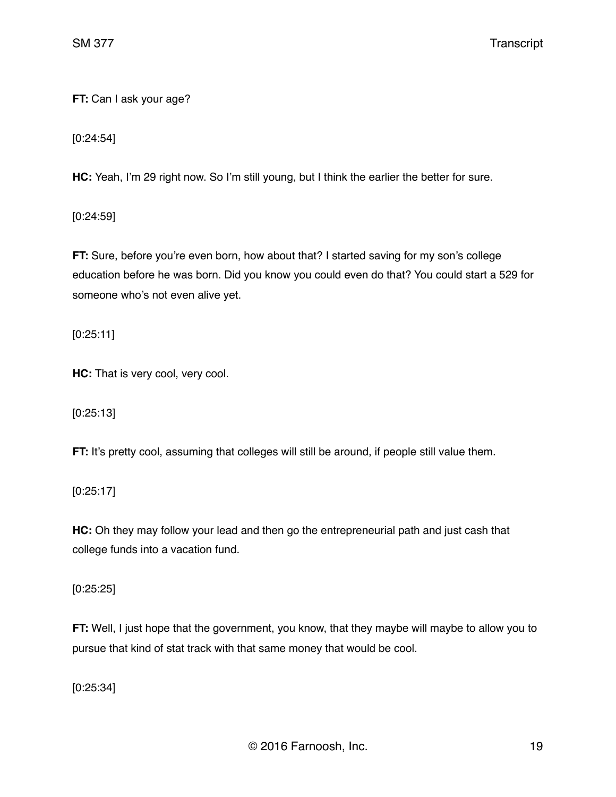**FT:** Can I ask your age?

[0:24:54]

**HC:** Yeah, I'm 29 right now. So I'm still young, but I think the earlier the better for sure.

[0:24:59]

**FT:** Sure, before you're even born, how about that? I started saving for my son's college education before he was born. Did you know you could even do that? You could start a 529 for someone who's not even alive yet.

[0:25:11]

**HC:** That is very cool, very cool.

[0:25:13]

**FT:** It's pretty cool, assuming that colleges will still be around, if people still value them.

[0:25:17]

**HC:** Oh they may follow your lead and then go the entrepreneurial path and just cash that college funds into a vacation fund.

[0:25:25]

**FT:** Well, I just hope that the government, you know, that they maybe will maybe to allow you to pursue that kind of stat track with that same money that would be cool.

[0:25:34]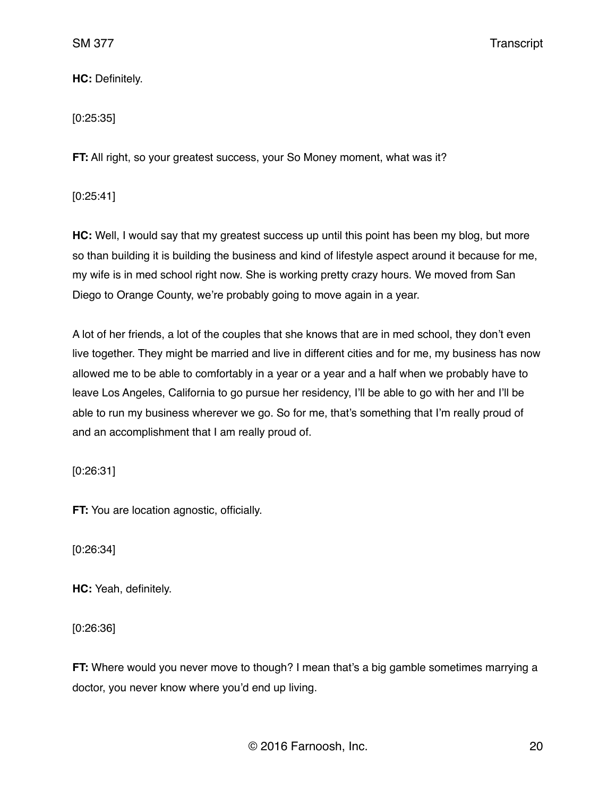**HC:** Definitely.

### [0:25:35]

**FT:** All right, so your greatest success, your So Money moment, what was it?

### [0:25:41]

**HC:** Well, I would say that my greatest success up until this point has been my blog, but more so than building it is building the business and kind of lifestyle aspect around it because for me, my wife is in med school right now. She is working pretty crazy hours. We moved from San Diego to Orange County, we're probably going to move again in a year.

A lot of her friends, a lot of the couples that she knows that are in med school, they don't even live together. They might be married and live in different cities and for me, my business has now allowed me to be able to comfortably in a year or a year and a half when we probably have to leave Los Angeles, California to go pursue her residency, I'll be able to go with her and I'll be able to run my business wherever we go. So for me, that's something that I'm really proud of and an accomplishment that I am really proud of.

[0:26:31]

**FT:** You are location agnostic, officially.

[0:26:34]

**HC:** Yeah, definitely.

[0:26:36]

**FT:** Where would you never move to though? I mean that's a big gamble sometimes marrying a doctor, you never know where you'd end up living.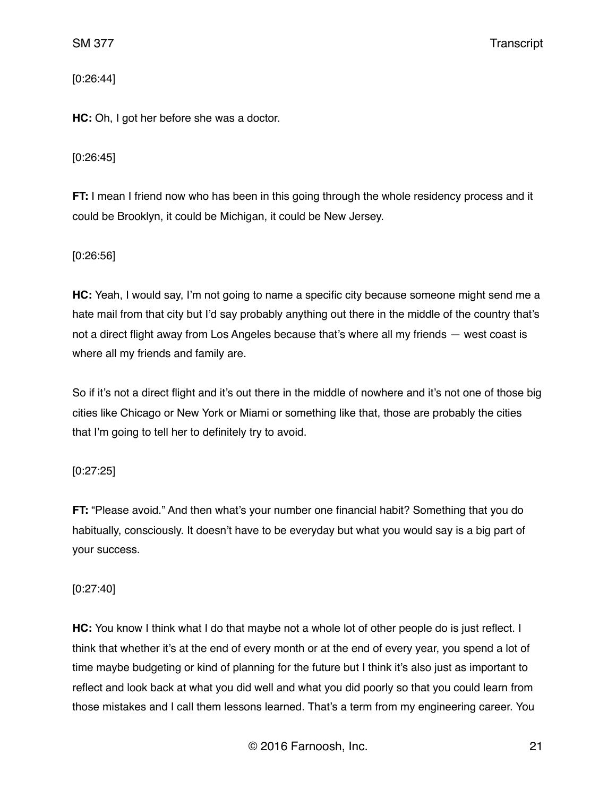[0:26:44]

**HC:** Oh, I got her before she was a doctor.

# [0:26:45]

**FT:** I mean I friend now who has been in this going through the whole residency process and it could be Brooklyn, it could be Michigan, it could be New Jersey.

# [0:26:56]

**HC:** Yeah, I would say, I'm not going to name a specific city because someone might send me a hate mail from that city but I'd say probably anything out there in the middle of the country that's not a direct flight away from Los Angeles because that's where all my friends — west coast is where all my friends and family are.

So if it's not a direct flight and it's out there in the middle of nowhere and it's not one of those big cities like Chicago or New York or Miami or something like that, those are probably the cities that I'm going to tell her to definitely try to avoid.

# [0:27:25]

**FT:** "Please avoid." And then what's your number one financial habit? Something that you do habitually, consciously. It doesn't have to be everyday but what you would say is a big part of your success.

# [0:27:40]

**HC:** You know I think what I do that maybe not a whole lot of other people do is just reflect. I think that whether it's at the end of every month or at the end of every year, you spend a lot of time maybe budgeting or kind of planning for the future but I think it's also just as important to reflect and look back at what you did well and what you did poorly so that you could learn from those mistakes and I call them lessons learned. That's a term from my engineering career. You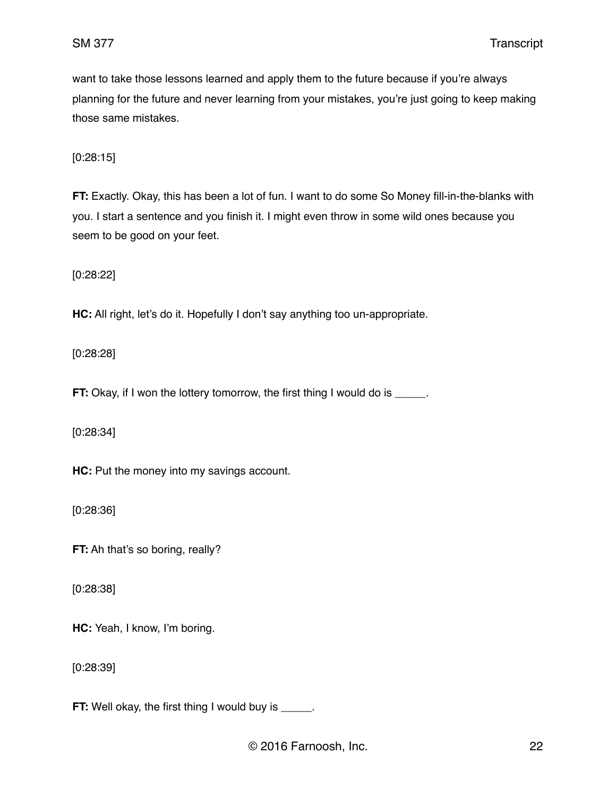want to take those lessons learned and apply them to the future because if you're always planning for the future and never learning from your mistakes, you're just going to keep making those same mistakes.

[0:28:15]

**FT:** Exactly. Okay, this has been a lot of fun. I want to do some So Money fill-in-the-blanks with you. I start a sentence and you finish it. I might even throw in some wild ones because you seem to be good on your feet.

[0:28:22]

**HC:** All right, let's do it. Hopefully I don't say anything too un-appropriate.

[0:28:28]

**FT:** Okay, if I won the lottery tomorrow, the first thing I would do is \_\_\_\_\_.

[0:28:34]

**HC:** Put the money into my savings account.

[0:28:36]

**FT:** Ah that's so boring, really?

[0:28:38]

**HC:** Yeah, I know, I'm boring.

[0:28:39]

**FT:** Well okay, the first thing I would buy is \_\_\_\_\_.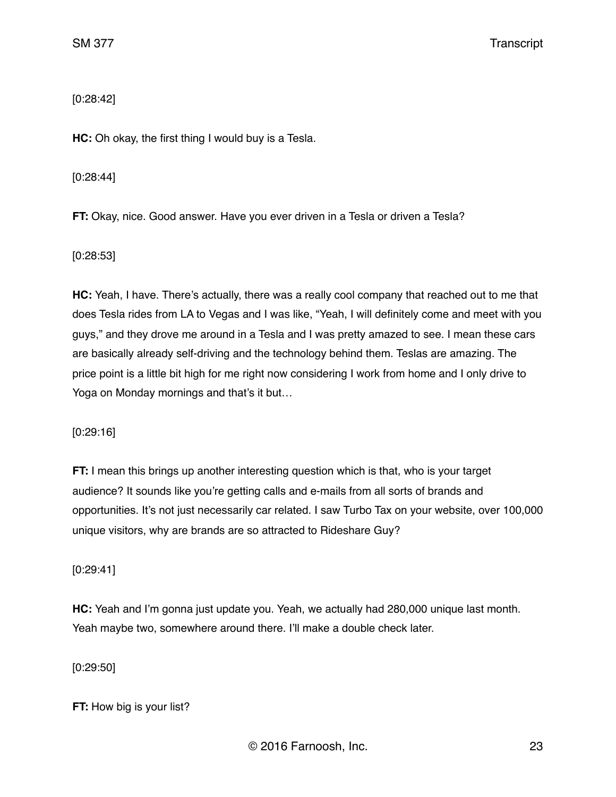# [0:28:42]

**HC:** Oh okay, the first thing I would buy is a Tesla.

[0:28:44]

**FT:** Okay, nice. Good answer. Have you ever driven in a Tesla or driven a Tesla?

[0:28:53]

**HC:** Yeah, I have. There's actually, there was a really cool company that reached out to me that does Tesla rides from LA to Vegas and I was like, "Yeah, I will definitely come and meet with you guys," and they drove me around in a Tesla and I was pretty amazed to see. I mean these cars are basically already self-driving and the technology behind them. Teslas are amazing. The price point is a little bit high for me right now considering I work from home and I only drive to Yoga on Monday mornings and that's it but…

[0:29:16]

**FT:** I mean this brings up another interesting question which is that, who is your target audience? It sounds like you're getting calls and e-mails from all sorts of brands and opportunities. It's not just necessarily car related. I saw Turbo Tax on your website, over 100,000 unique visitors, why are brands are so attracted to Rideshare Guy?

[0:29:41]

**HC:** Yeah and I'm gonna just update you. Yeah, we actually had 280,000 unique last month. Yeah maybe two, somewhere around there. I'll make a double check later.

[0:29:50]

**FT:** How big is your list?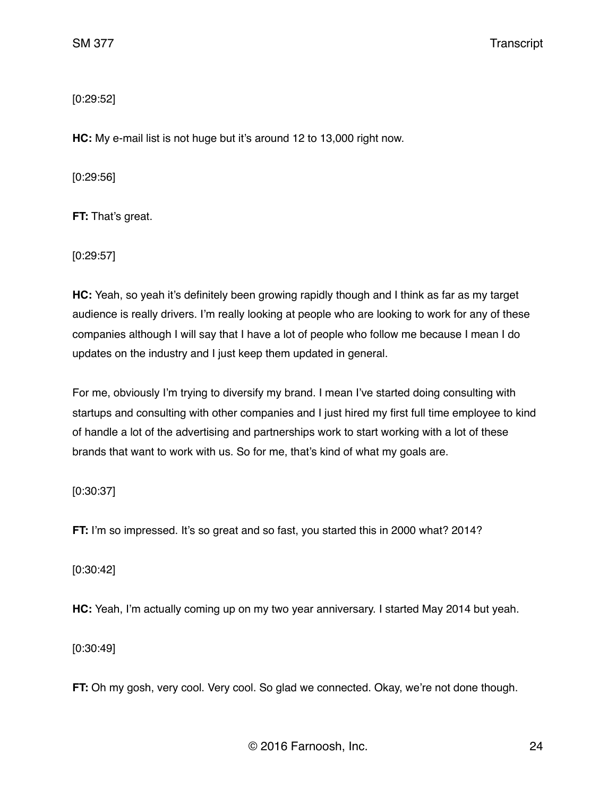[0:29:52]

**HC:** My e-mail list is not huge but it's around 12 to 13,000 right now.

[0:29:56]

**FT:** That's great.

[0:29:57]

**HC:** Yeah, so yeah it's definitely been growing rapidly though and I think as far as my target audience is really drivers. I'm really looking at people who are looking to work for any of these companies although I will say that I have a lot of people who follow me because I mean I do updates on the industry and I just keep them updated in general.

For me, obviously I'm trying to diversify my brand. I mean I've started doing consulting with startups and consulting with other companies and I just hired my first full time employee to kind of handle a lot of the advertising and partnerships work to start working with a lot of these brands that want to work with us. So for me, that's kind of what my goals are.

# [0:30:37]

FT: I'm so impressed. It's so great and so fast, you started this in 2000 what? 2014?

[0:30:42]

**HC:** Yeah, I'm actually coming up on my two year anniversary. I started May 2014 but yeah.

[0:30:49]

**FT:** Oh my gosh, very cool. Very cool. So glad we connected. Okay, we're not done though.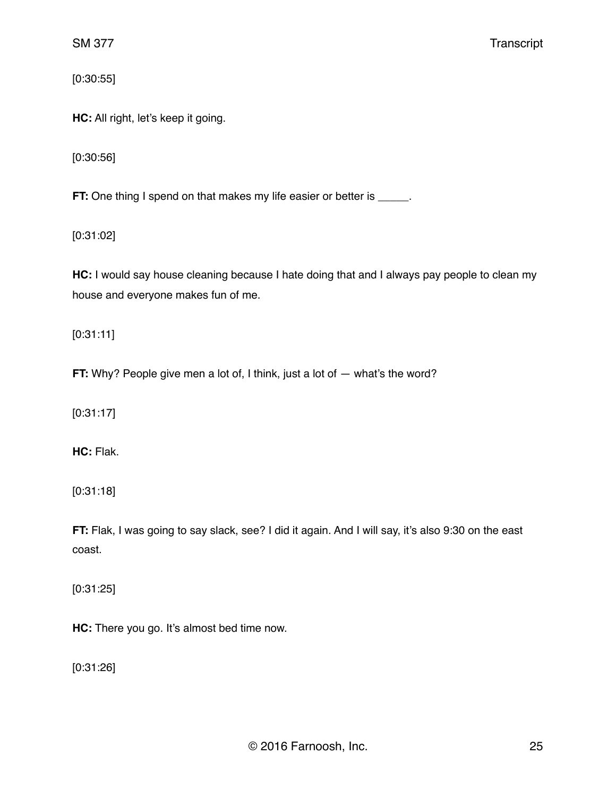[0:30:55]

**HC:** All right, let's keep it going.

[0:30:56]

**FT:** One thing I spend on that makes my life easier or better is \_\_\_\_\_.

[0:31:02]

**HC:** I would say house cleaning because I hate doing that and I always pay people to clean my house and everyone makes fun of me.

[0:31:11]

**FT:** Why? People give men a lot of, I think, just a lot of — what's the word?

[0:31:17]

**HC:** Flak.

[0:31:18]

**FT:** Flak, I was going to say slack, see? I did it again. And I will say, it's also 9:30 on the east coast.

[0:31:25]

**HC:** There you go. It's almost bed time now.

[0:31:26]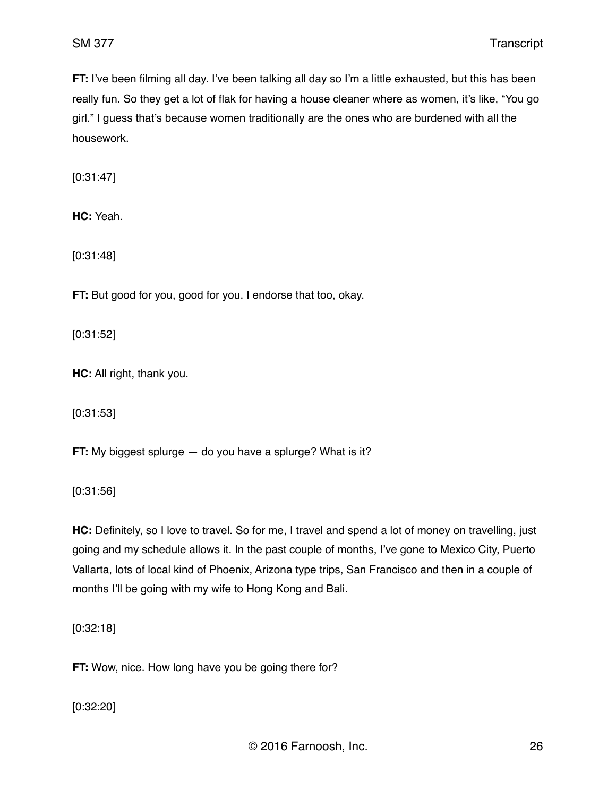**FT:** I've been filming all day. I've been talking all day so I'm a little exhausted, but this has been really fun. So they get a lot of flak for having a house cleaner where as women, it's like, "You go girl." I guess that's because women traditionally are the ones who are burdened with all the housework.

[0:31:47]

**HC:** Yeah.

[0:31:48]

**FT:** But good for you, good for you. I endorse that too, okay.

[0:31:52]

**HC:** All right, thank you.

[0:31:53]

**FT:** My biggest splurge — do you have a splurge? What is it?

[0:31:56]

**HC:** Definitely, so I love to travel. So for me, I travel and spend a lot of money on travelling, just going and my schedule allows it. In the past couple of months, I've gone to Mexico City, Puerto Vallarta, lots of local kind of Phoenix, Arizona type trips, San Francisco and then in a couple of months I'll be going with my wife to Hong Kong and Bali.

[0:32:18]

**FT:** Wow, nice. How long have you be going there for?

[0:32:20]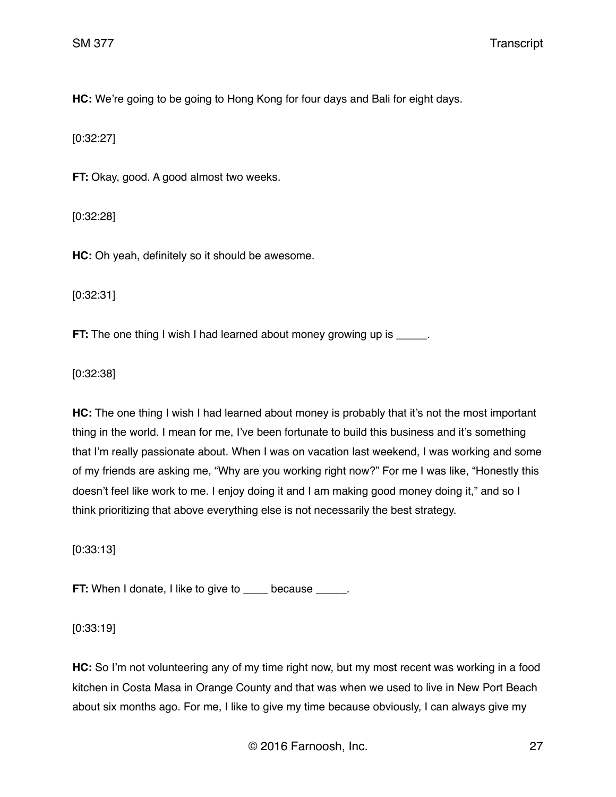**HC:** We're going to be going to Hong Kong for four days and Bali for eight days.

[0:32:27]

**FT:** Okay, good. A good almost two weeks.

[0:32:28]

**HC:** Oh yeah, definitely so it should be awesome.

[0:32:31]

**FT:** The one thing I wish I had learned about money growing up is  $\qquad \qquad$ .

[0:32:38]

**HC:** The one thing I wish I had learned about money is probably that it's not the most important thing in the world. I mean for me, I've been fortunate to build this business and it's something that I'm really passionate about. When I was on vacation last weekend, I was working and some of my friends are asking me, "Why are you working right now?" For me I was like, "Honestly this doesn't feel like work to me. I enjoy doing it and I am making good money doing it," and so I think prioritizing that above everything else is not necessarily the best strategy.

[0:33:13]

**FT:** When I donate, I like to give to because  $\qquad$ .

[0:33:19]

**HC:** So I'm not volunteering any of my time right now, but my most recent was working in a food kitchen in Costa Masa in Orange County and that was when we used to live in New Port Beach about six months ago. For me, I like to give my time because obviously, I can always give my

© 2016 Farnoosh, Inc. 27